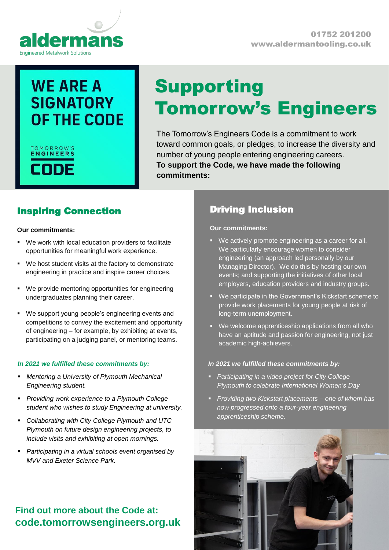

# **WE ARE A SIGNATORY** OF THE CODE

## TOMORROW'S **ENGINEERS**

# Supporting Tomorrow's Engineers

The Tomorrow's Engineers Code is a commitment to work toward common goals, or pledges, to increase the diversity and number of young people entering engineering careers. **To support the Code, we have made the following commitments:**

## Inspiring Connection

#### **Our commitments:**

- We work with local education providers to facilitate opportunities for meaningful work experience.
- We host student visits at the factory to demonstrate engineering in practice and inspire career choices.
- We provide mentoring opportunities for engineering undergraduates planning their career.
- We support young people's engineering events and competitions to convey the excitement and opportunity of engineering – for example, by exhibiting at events, participating on a judging panel, or mentoring teams.

### *In 2021 we fulfilled these commitments by:*

- *Mentoring a University of Plymouth Mechanical Engineering student.*
- *Providing work experience to a Plymouth College student who wishes to study Engineering at university.*
- *Collaborating with City College Plymouth and UTC Plymouth on future design engineering projects, to include visits and exhibiting at open mornings.*
- *Participating in a virtual schools event organised by MVV and Exeter Science Park.*

## **Find out more about the Code at: code.tomorrowsengineers.org.uk**

## Driving Inclusion

**Our commitments:**

- We actively promote engineering as a career for all. We particularly encourage women to consider engineering (an approach led personally by our Managing Director). We do this by hosting our own events; and supporting the initiatives of other local employers, education providers and industry groups.
- We participate in the Government's Kickstart scheme to provide work placements for young people at risk of long-term unemployment.
- We welcome apprenticeship applications from all who have an aptitude and passion for engineering, not just academic high-achievers.

### *In 2021 we fulfilled these commitments by:*

- *Participating in a video project for City College Plymouth to celebrate International Women's Day*
- *Providing two Kickstart placements – one of whom has now progressed onto a four-year engineering apprenticeship scheme.*